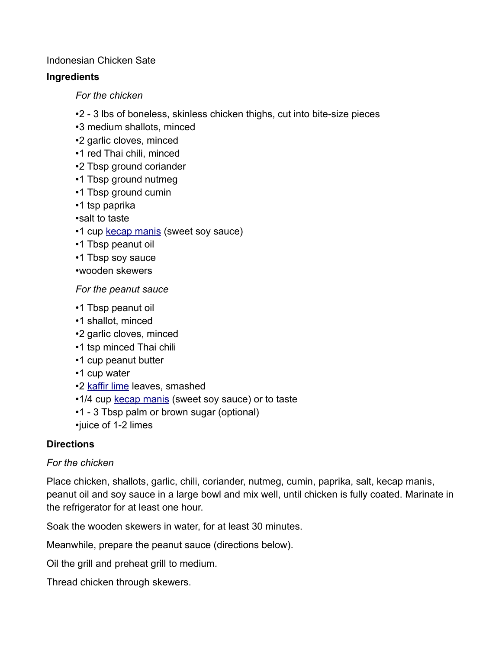### Indonesian Chicken Sate

## **Ingredients**

*For the chicken*

- •2 3 lbs of boneless, skinless chicken thighs, cut into bite-size pieces
- •3 medium shallots, minced
- •2 garlic cloves, minced
- •1 red Thai chili, minced
- •2 Tbsp ground coriander
- •1 Tbsp ground nutmeg
- •1 Tbsp ground cumin
- •1 tsp paprika
- •salt to taste
- •1 cup [kecap manis](https://en.wikipedia.org/wiki/Sweet_soy_sauce) (sweet soy sauce)
- •1 Tbsp peanut oil
- •1 Tbsp soy sauce
- •wooden skewers

#### *For the peanut sauce*

- •1 Tbsp peanut oil
- •1 shallot, minced
- •2 garlic cloves, minced
- •1 tsp minced Thai chili
- •1 cup peanut butter
- •1 cup water
- •2 [kaffir lime](https://en.wikipedia.org/wiki/Kaffir_lime) leaves, smashed
- •1/4 cup [kecap manis](https://en.wikipedia.org/wiki/Sweet_soy_sauce) (sweet soy sauce) or to taste
- •1 3 Tbsp palm or brown sugar (optional)
- •juice of 1-2 limes

## **Directions**

#### *For the chicken*

Place chicken, shallots, garlic, chili, coriander, nutmeg, cumin, paprika, salt, kecap manis, peanut oil and soy sauce in a large bowl and mix well, until chicken is fully coated. Marinate in the refrigerator for at least one hour.

Soak the wooden skewers in water, for at least 30 minutes.

Meanwhile, prepare the peanut sauce (directions below).

Oil the grill and preheat grill to medium.

Thread chicken through skewers.